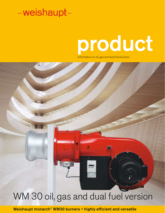# product

Ŕ

Information on oil, gas and dual fuel burners

# WM 30 oil, gas and dual fuel version

Weishaupt monarch® WM30 burners • highly efficient and versatile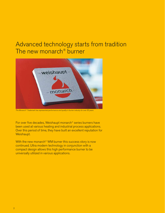### Advanced technology starts from tradition The new monarch<sup>®</sup> burner



*The Monarch® Trademark has represented performance and quality in burner industry for over 50 years*

For over five decades, Weishaupt monarch® series burners have been used at various heating and industrial process applications. Over this period of time, they have built an excellent reputation for Weishaupt.

With the new monarch<sup>®</sup> WM burner this success story is now continued. Ultra modern technology in conjunction with a compact design allows this high performance burner to be universally utilized in various applications.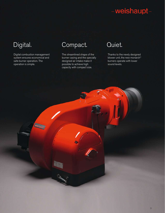Digital combustion management system ensures economical and safe burner operation. The operation is simple.

### Digital. Compact. Quiet.

The streamlined shape of the burner casing and the specially designed air intake make it possible to achieve high capacity with compact size.

Thanks to the newly designed blower unit, the new monarch® burners operate with lower sound levels.

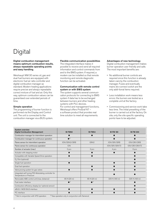### Digital

#### Digital combustion management means optimum combustion results, always repeatable operating points and easy handling.

Weishaupt WM 30 series oil, gas and dual fuel burners are equipped with electronic fuel air ratio controller and digital combustion manager as standard. Modern heating applications require precise and always repeatable correct mixture of fuel and air. Only this way, optimum combustion values can be guaranteed over extended periods of time.

#### Simple operation

The programming of burner function is performed via the Display and Control unit. The unit is connected to the combustion manager via a BUS system.

#### Flexible communication possibilities

The integrated interface makes it possible to receive and send all required information and control commands from and to the BMS system. If required, a modem can be installed so that remote monitoring and remote diagnostic function can be activated.

#### Communication with remote control system or with BMS system

The system supports several communication protocols for connecting to BMS system if data has to be exchanged between burners and other heating systems with PLC devices. For control and management functions, Weishaupt offers ProGraf NT – a software product that provides real time solution to meet all requirements.

#### Advantages of new technology

Digital combustion management makes burner operation user friendly and safe. The most important benefits are:

- No additional burner controls are required since this function is already taken care by the combustion manager. Fuses and eventually mains dis-connect switch are the only addi-tional items required.
- Less installation work means less errors: the burners are tested as a complete unit at the factory.
- Commissioning and service work take less time. The initial presetting of the burner is carried out at the factory. On site, only the site specific operating points have to be adjusted.

| <b>System overview</b><br><b>Digital Combustion Management</b>                  | <b>W-FM50</b>                                                 | <b>W-FM54</b>           | <b>W-FM 100</b> | <b>W-FM 200</b> |
|---------------------------------------------------------------------------------|---------------------------------------------------------------|-------------------------|-----------------|-----------------|
| Combustion manager for intermittent operation                                   |                                                               |                         |                 |                 |
| Combustion manager for continuous operation                                     | $\bullet$ <sup>2)</sup>                                       |                         |                 |                 |
| Flame sensor for intermittent operation                                         | ION/QRA2/QRB                                                  | QRA2                    | ION/QRI/QRB     | ION/QRI/QRB     |
| Flame sensor for continuous operation                                           | <b>ION</b>                                                    |                         | ION/QRI/QRA73   | ION/QRI/QRA73   |
| Number of actuator (max.)                                                       | 2 pcs                                                         | 3 pcs                   | 4 pcs           | 6 pcs           |
| Actuator with stepping motor                                                    |                                                               |                         |                 |                 |
| Compatible with Variable Speed Drive operation                                  |                                                               |                         |                 |                 |
| $O2$ -Trim (optional)                                                           |                                                               |                         |                 |                 |
| Single fuel operation                                                           |                                                               |                         |                 |                 |
| Dual fuel operation                                                             |                                                               |                         |                 |                 |
| Valve proving system for gas valves                                             |                                                               |                         |                 |                 |
| Integrated self tuning PID-Modulating controller for<br>Temperature or Pressure |                                                               |                         |                 |                 |
| Removable ABE control unit (max. distance)                                      | 65 ft (20 m)                                                  | 65 ft (20 m)            | 325 ft (100 m)  | 325 ft (100 m)  |
| Fuel meter interface                                                            | $\bullet$ <sup>1)</sup>                                       | $\bullet$ <sup>1)</sup> |                 |                 |
| Combustion efficiency display (w/ optional sensor)                              |                                                               |                         |                 |                 |
| eBUS / MOD BUS interface                                                        |                                                               |                         |                 |                 |
| PC interface                                                                    |                                                               |                         |                 |                 |
| <sup>1)</sup> Not in conjunction with VFD operation                             | <sup>2)</sup> Gas operation only in conjunction with flamerod |                         |                 |                 |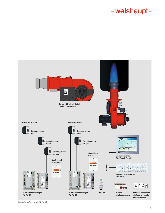

*Connection schematic with W-FM 54*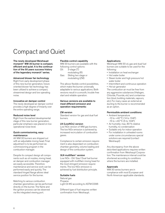### Compact and Quiet

The newly developed Weishaupt monarch® WM 30 burner is compact, efficient and quiet. It is the continuation of the 50 years success history of the legendary monarch® series.

#### Advanced blower fan technology

Right from early development phase of this new burner generation, future oriented blower fan technology has been utilized to achieve a compact, streamined design and low operating noise.

#### Innovative air damper control

The newly developed air damper control provides a high degree of linearity over the entire operating range.

### Reduced noise level

Right from the earliest developmental stage of this new burner generation, particular emphasis was placed on low operational noise level.

#### Quick commissioning, easy maintenance

All WM 30 burners are shipped out with an adjustable mixing head. Final adjustment is to be performed via commissioning program in the combustion manager.

Despite its compact design all components such as oil nozzles, mixing head, air damper and combustion manager are easily accessible. Therefore maintenance and service work can be performed easily and quickly. The standard hinged flange allows ideal service position for the burner.

Matching to various combustion chamber geometries can be performed directly on the burner. The flame and the ignition process can be observed via the integrated viewing port.

#### Flexible control capability

WM 30 burners are available with the following control options:<br>Oil: 3-stage (T) 3-stage (T) modulating (R) Gas: Sliding two stage or modulating (ZM)

This allows flexible control possibilities, which make the burner universally adaptable to various applications. Both versions result in a smooth, trouble free start and reliable operation.

#### Various versions are available to meet different emission and operation requirements:

#### ZM version

Standard version for gas and dual fuel burners.

#### LN (LowNOx) version

Low NOx version of WM gas burners. The low NOx emission is achieved by increased recirculation of combustion gases.

Compliance to certain emission requirement is also dependant on combustion chamber geometry, volume loading and design of the combustion system.

#### 3LN multiflam® version

Low NOx - Oil/ Gas/ Dual fuel burner equipped with multiflam mixing head for the most stringent emission requirements. The low NOx emission is achieved by fuel distribution principle.

#### Suitable fuels

Natural gas Propane Light Oil #2 according to ASTM D396

Different type of fuel requires written confirmation from Weishaupt.

#### Applications

Weishaupt WM 30 oil, gas and dual fuel burners are suitable to be used for the following:

- Installation on heat exchanger
- Hot water boiler
- Steam boiler and high pressure hot water boiler
- Intermittent and continuous operation
- Hot air generator

The combustion air must be free from any aggressive substances (Halogen, Chloride, Fluoride, etc) and contamination (dust, building materials, vapours, etc). For many cases an external air ducting to the burner is recommended as an option.

#### Permissible ambient conditions:

- Ambient temperature
- $-10$  to  $+40$  °C (14 to 104F)
- $-15$  to  $+40$  °C (5 to 104F)
- Air humidity: max. 80 % relative humidity, no condensation
- Suitable only for indoor operation
- For installation in unheated rooms under some circumstances special solutions are required (contact Weishaupt)

Any discrepancy from the above described applications requires written confirmation from Weishaupt Corporation. The maintenance interval could be shortened according to conditions where the burners are installed.

#### Approvals

WM 30 series burners are in compliance with most European and North American applicable standards.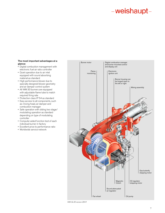#### The most important advantages at a glance:

- Digital combustion management with electronic fuel air ratio controller
- Quiet operation due to air inlet equipped with sound absorbing material as standard
- High performance blower due to specially designed blower geometry and air damper control system
- All WM 30 burners are equipped with adjustable flame tube to match required firing rate
- Protection class IP 54 as standard
- Easy access to all components, such
- as: mixing head, air damper and combustion manager • Safe operation with sliding two stage/
- modulating operation as standard depending on type of modulating controller
- Computer aided function test of each individual burner in factory
- Excellent price to performance ratio
- Worldwide service network



*WM-GL30 version ZM-R*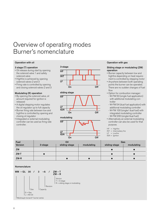### Overview of operating modes Burner's nomenclature

#### Operation with oil

#### 3 stage (T) operation

- Oil release during start by opening the solenoid valve 1 and safety solenoid valve
- Highfire is achieved by opening solenoid valves 2 and 3
- Firing rate is controlled by opening and closing solenoid valves 2 and 3

### Modulating (R) operation

- By opening the solenoid valve, oil amount required for ignition is released
- A digital stepping motor regulates the oil regulator up to full capacity
- Burner firing rate between low and highfire is controlled by opening and closing oil regulator
- Integrated or external modulating controller can be used as firing rate controller.







#### Operation with gas

#### Sliding stage or modulating (ZM) operation

- Burner capacity between low and highfire depending on heat requirement is controlled by stepping motor
- Anywhere between both operating points the burner can be operated. There are no sudden changes of fuel flow
- Option for combustion manager: - W-FM 50 (single fuel application) with additional modulating controller
- W-FM 54 (dual fuel application) with additional modulating controller - W-FM 100 (single/ dual fuel) with integrated modulating controller - W-FM 200 (single/dual fuel)

• Alternatively an external modulating controller can also be used for that purpose.

- $HF = Highfire$
- INT = Intermediary fire
- $LF = Lowfire$
- IGN = Ignition

| <b>Fuel</b> | Oil     |               |            | Gas           |            |
|-------------|---------|---------------|------------|---------------|------------|
| Version     | 3-stage | sliding-stage | modulating | sliding-stage | modulating |
| <b>ZM</b>   |         |               |            |               |            |
| $ZM-T$      |         |               |            |               |            |
| $ZM-R$      |         |               |            |               |            |

#### Nomenclature

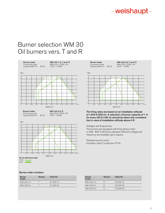### Burner selection WM 30 Oil burners vers. T and R



#### Burner order numbers

| <b>Burner</b><br>model | <b>Version</b> | Order No.  |
|------------------------|----------------|------------|
| $WM-L30/1-A$           |                | 211 320 10 |
| WM-L30/2-A             |                | 211 320 20 |

 $\overline{\phantom{0}}$ 





Burner model WM-L30/2-A/ T and /R Combustion head WM-L30/2, 222K x 45<br>Capacity MBTU/h #2 Oil 3.070 - 13.995



The firing rates are based on an installation altitude of 1,640 ft (500 m). A reduction of burner capacity of 1 % for every 325 ft (100 m) should be taken into consideration in case of installation altitude above 0 ft.

Voltages and frequencies:

The burners are equipped with three phase motor in 208 - 600 V, 60 Hz as standard. Different voltage and frequency are available upon request.

| <b>Burner</b><br>model | <b>Version</b> | Order No.  |
|------------------------|----------------|------------|
| $WM-L30/1-A$           | R              | 215 320 10 |
| WM-L30/2-A             | R              | 215 320 20 |
| WM-L30/3-A             | R              | 215 320 30 |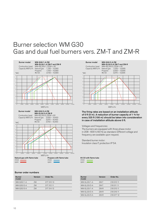### Burner selection WM G30 Gas and dual fuel burners vers. ZM-T and ZM-R



#### Burner order numbers

| <b>Burner</b><br>model | Version | Order No.  |
|------------------------|---------|------------|
| WM-G30/1-A             | 7M      | 217 310 13 |
| WM-G30/2-A             | 7M      | 217 312 11 |
| WM-G30/3-A             | 7M      | 217 314 12 |



The firing rates are based on an installation altitude of 0 ft (0 m). A reduction of burner capacity of 1 % for every 325 ft (100 m) should be taken into consideration in case of installation altitude above 0 ft.

Voltages and frequencies:

The burners are equipped with three phase motor in 208 - 600 V, 60 Hz as standard. Different voltage and frequency are available upon request.

| #2 Oil with flame tube |  |  |
|------------------------|--|--|
| -----                  |  |  |

| <b>Version</b> | Order No.  |
|----------------|------------|
| ZM-T           | 218 310 11 |
| ZM-T           | 218 311 11 |
| $ZM-R$         | 218 315 11 |
| $ZM-R$         | 218 316 11 |
| $ZM-R$         | 218 317 12 |
|                |            |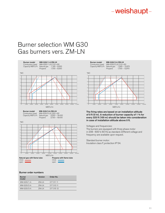### Burner selection WM G30 Gas burners vers. ZM-LN



#### Burner order numbers

| <b>Burner</b><br>model | Version  | Order No.  |
|------------------------|----------|------------|
| WM-G30/1-A             | $7M-1 N$ | 217 311 11 |
| WM-G30/2-A             | ZM-LN    | 217 313 11 |
| WM-G30/3-A             | $7M-1 N$ | 217 315 12 |

Burner model WM-G30/2-A ZM-LN

Combustion head WM-G30/2 LN, 210 x 60 Capacity MBTU/h Natural gas 1,365 – 12,970 Propane 1,700 – 12,970



The firing rates are based on an installation altitude of 0 ft (0 m). A reduction of burner capacity of 1 % for every 325 ft (100 m) should be taken into consideration in case of installation altitude above 0 ft.

Voltages and frequencies:

The burners are equipped with three phase motor in 208 - 600 V, 60 Hz as standard. Different voltage and frequency are available upon request.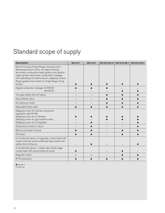### Standard scope of supply

| <b>Description</b>                                                                                                                                                                                                                                                                                                           | <b>WM-L30-T</b> | <b>WM-L30-R</b> | WM-G30 ZM/LN | WM-GL30 ZM-T | WM-GL30 ZM-R |
|------------------------------------------------------------------------------------------------------------------------------------------------------------------------------------------------------------------------------------------------------------------------------------------------------------------------------|-----------------|-----------------|--------------|--------------|--------------|
| Burner housing, Hinge flange, housing cover,<br>Weishaupt burner motor, air intake housing,<br>fan wheel, combustion head, ignition unit, ignition<br>cable, ignition electrodes, combustion manager<br>with operating unit, flame sensor, stepping motors,<br>flange gasket, limit switch on hinge flange, fixing<br>screws |                 |                 |              |              |              |
| Digital combustion manager W-FM 50<br><b>W-FM 54</b>                                                                                                                                                                                                                                                                         |                 |                 |              |              |              |
| Two gas safety shut off valves                                                                                                                                                                                                                                                                                               |                 |                 |              |              |              |
| Gas butterfly valve                                                                                                                                                                                                                                                                                                          |                 |                 |              |              |              |
| Air pressure switch                                                                                                                                                                                                                                                                                                          |                 |                 |              |              |              |
| Adjustable flame tube                                                                                                                                                                                                                                                                                                        |                 |                 |              |              |              |
| Stepping motor for fuel/air compound<br>regulation with W-FM:<br>Stepping motor for air damper<br>Stepping motor for gas butterfly valve<br>Stepping motor for oil regulator                                                                                                                                                 |                 |                 |              |              |              |
| Oil pressure switch in return                                                                                                                                                                                                                                                                                                |                 |                 |              |              |              |
| Burner mounted oil pump                                                                                                                                                                                                                                                                                                      |                 |                 |              |              |              |
| Oil hoses                                                                                                                                                                                                                                                                                                                    |                 |                 |              |              |              |
| 2 oil solenoid valves, oil regulator, nozzle head with<br>nozzle solenoid, premounted spill type nozzle and<br>safety shut off device                                                                                                                                                                                        |                 |                 |              |              |              |
| 3 oil solenoid valves, 1 safety valve, three stage<br>nozzle head with premounted oil nozzle                                                                                                                                                                                                                                 |                 |                 |              |              |              |
| Magnetic clutch                                                                                                                                                                                                                                                                                                              | $\circ$         | O               |              |              |              |
| IP 54 protection                                                                                                                                                                                                                                                                                                             |                 |                 |              |              |              |

● Standard<br>○ Optional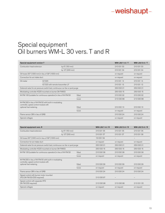### Special equipment Oil burners WM-L 30 vers. T and R

| Special equipment version T                                                                   |                                   |                 |        |                | WM-L30/1-A/T   | WM-L30/2-A/T   |
|-----------------------------------------------------------------------------------------------|-----------------------------------|-----------------|--------|----------------|----------------|----------------|
| Combustion head extension                                                                     |                                   | by 6" (150 mm)  |        |                | 210 031 03     | 210 031 03     |
|                                                                                               |                                   | by 12" (300 mm) |        |                | 210 031 04     | 210 031 04     |
| Oil hoses 50" (1300 mm) in lieu of 39" (1000 mm)                                              |                                   |                 |        |                | on request     | on request     |
| Connection for air intake duct                                                                |                                   |                 |        |                | on request     | on request     |
| Oil meter                                                                                     | VZ 020                            |                 |        |                | 210 031 14     | 210 031 14     |
|                                                                                               | VZ 020 with remote transmitter LF |                 |        |                | 210 031 13     | 210 031 13     |
| Solenoid valve for air pressure switch test, continuous run fan or post purge                 |                                   |                 |        |                | 250 030 21     | 250 030 21     |
| Modulating controller KS20 mounted on burner (W-FM50)                                         |                                   |                 |        |                | 250 033 15     | 250 033 15     |
| W-FM 100 (suitable for continuous operation) in lieu of W-FM 50                               |                                   |                 | fitted |                | 210 030 32     | 210 030 32     |
|                                                                                               |                                   |                 | loose  |                | 210 030 88     | 210 030 88     |
| W-FM 200 in lieu of W-FM 50 with built-in modulating<br>controller, speed control module with |                                   |                 |        |                |                |                |
| optional fuel metering                                                                        |                                   |                 | fitted |                | 210 030 10     | 210 030 10     |
|                                                                                               |                                   |                 | loose  |                | on request     | on request     |
| Flame sensor QRI in lieu of QRB                                                               |                                   |                 |        |                | 210 030 24     | 210 030 24     |
| Special voltages                                                                              |                                   |                 |        |                | on request     | on request     |
|                                                                                               |                                   |                 |        |                |                |                |
|                                                                                               |                                   |                 |        |                |                |                |
| Special equipment vers. R                                                                     |                                   |                 |        | WM-L30/1-A / R | WM-L30/2-A / R | WM-L30/3-A / R |
| Combustion head extension                                                                     |                                   | by 6" (150 mm)  |        | 210 031 05     | 210 031 05     | 210 031 06     |
|                                                                                               |                                   | by 12" (300 mm) |        | 210 031 07     | 210 031 07     | 210 031 08     |
| Oil hoses 50" (1300 mm) in lieu of 39" (1000 mm)                                              |                                   |                 |        | 110 001 59     |                |                |
| Connection for air intake duct                                                                |                                   |                 |        | on request     | on request     | on request     |
| Solenoid valve for air pressure switch test, continuous run fan or post purge                 |                                   |                 |        | 250 030 21     | 250 030 21     | 250 030 21     |
| Modulating controller KS20 mounted on burner (W-FM50)                                         |                                   |                 |        | 250 033 15     | 250 033 15     | 250 033 15     |
| W-FM 100 (suitable for continuous operation) in lieu of W-FM 50                               |                                   |                 | fitted | 210 030 38     | 21003038       | 210 030 38     |
|                                                                                               |                                   |                 | loose  | on request     | on request     | on request     |
| W-FM 200 in lieu of W-FM 50 with built-in modulating                                          |                                   |                 |        |                |                |                |
| controller, speed control module with<br>optional fuel metering                               |                                   |                 | fitted | 210 030 39     | 210 030 39     | 210 030 39     |
|                                                                                               |                                   |                 | loose  | on request     | on request     | on request     |
| Flame sensor QRI in lieu of QRB                                                               |                                   |                 |        | 210 030 24     | 210 030 24     | 210 030 24     |
| Speed control with burner motor mounted<br>VFD (W-FM 50/200 required)                         |                                   |                 |        | 21003097       |                |                |
| Speed control with separate VFD<br>(W-FM 200 required)                                        |                                   |                 |        | 210 030 98     | 21003098       | 210 031 00     |
| Special voltages                                                                              |                                   |                 |        | on request     | on request     | on request     |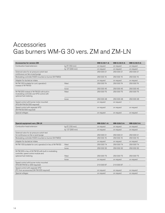### Accessories Gas burners WM-G 30 vers. ZM and ZM-LN

| <b>Accessories for version ZM</b>                                                                                 |                 | WM-G 30/1-A       | WM-G 30/2-A       | WM-G 30/3-A       |
|-------------------------------------------------------------------------------------------------------------------|-----------------|-------------------|-------------------|-------------------|
| Combustion head extension                                                                                         | by 6" (150 mm)  | on request        | on request        | on request        |
|                                                                                                                   | by 12" (300 mm) | on request        | on request        | on request        |
| Solenoid valve for air pressure switch test<br>continuous run fan or post purge                                   |                 | 250 030 21        | 250 030 21        | 250 030 21        |
| Modulating controller KS20 mounted on burner (W-FM50)                                                             |                 | 250 033 15        | 250 033 15        | 250 033 15        |
| Adapter for ducted air intake                                                                                     |                 | on request        | on request        | on request        |
| W-FM 100 (suitable for cont. operation)<br>instead of W-FM 50                                                     | fitted          | 250 030 74        | 250 030 74        | 250 030 74        |
|                                                                                                                   | loose           | 250 030 45        | 250 030 45        | 250 030 45        |
| W-FM 200 instead of W-FM 50 with built in<br>modulating controller and VFD control with<br>optional fuel metering | fitted          | 250 030 75        | 250 030 75        | 250 030 75        |
|                                                                                                                   | loose           | 250 030 48        | 250 030 48        | 250 030 48        |
| Speed control with burner motor mounted<br>VFD (W-FM 50/200 required)                                             |                 | on request        | on request        |                   |
| Speed control with separate VFD<br>(W-FM 50/200 required)                                                         |                 | on request        | on request        | on request        |
| Special voltages                                                                                                  |                 | on request        | on request        | on request        |
|                                                                                                                   |                 |                   |                   |                   |
|                                                                                                                   |                 |                   |                   |                   |
| Special equipment vers. ZM-LN                                                                                     |                 | <b>WM-G30/1-A</b> | <b>WM-G30/2-A</b> | <b>WM-G30/3-A</b> |
| Combustion head extension                                                                                         | by 6" (150 mm)  | on request        | on request        | on request        |
|                                                                                                                   | by 12" (300 mm) | on request        | on request        | on request        |
| Solenoid valve for air pressure switch test<br>for continuous run fan or post-purge                               |                 | 25003021          | 250 030 21        | 250 030 21        |
| Modulating controller KS20 mounted on burner (W-FM50)                                                             |                 | 250 033 15        | 250 033 15        | 250 033 15        |
| Adapter for ducted air intake                                                                                     |                 | on request        | on request        | on request        |
| W-FM 100 (suitable for cont. operation) in lieu of W-FM 50                                                        | fitted          | 250 030 74        | 250 030 74        | 250 030 74        |
|                                                                                                                   | loose           | 25003232          | 250 032 32        | 250 032 32        |
| W-FM 200 in lieu of W-FM 50 with built in modulating<br>controller, speed control module and                      |                 |                   |                   |                   |
| optional fuel metering                                                                                            | fitted          | 250 030 75        | 250 030 75        | 250 030 75        |

VFD (W-FM 50 or 200 required) 210 030 97 210 030 97 – Speed control with separate VFD (FC from accessories) (W-FM 200 required) on request on request on request Special voltages on request on request on request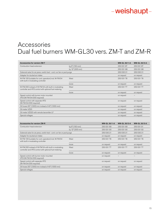### Accessories Dual fuel burners WM-GL30 vers. ZM-T and ZM-R

| <b>Accessories for version ZM-T</b>                                                                            |                 | <b>WM-GL 30/1-A</b> | <b>WM-GL 30/2-A</b> |
|----------------------------------------------------------------------------------------------------------------|-----------------|---------------------|---------------------|
| Combustion head extension                                                                                      | by 6" (150 mm)  | 250 031 87          | 250 031 87          |
|                                                                                                                | by 12" (300 mm) | 250 031 88          | 250 031 88          |
| Solenoid valve for air press. switch test - cont. run fan or post purge                                        |                 | 250 030 21          | 250 030 21          |
| Adapter for ducted air intake                                                                                  |                 | on request          | on request          |
| W-FM 100 (suitable for cont. operation) inst. W-FM 54<br>with built in modulating controller                   | fitted          | 250 031 78          | 250 031 78          |
|                                                                                                                | loose           | on request          | on request          |
| W-FM 200 instead of W-FM 54 with built in modulating<br>controller and VFD control with optional fuel metering | fitted          | 250 031 77          | 250 031 77          |
|                                                                                                                | loose           | on request          | on request          |
| Speed control with burner motor mounted<br>VFD (W-FM 54/200 required)                                          |                 | on request          |                     |
| Speed control with separate VFD<br>(W-FM 54/200 required)                                                      |                 | on request          | on request          |
| Oil hoses 50" (1300) mm instead of 40" (1000 mm)                                                               |                 | on request          | on request          |
| Oil meter VZ20                                                                                                 |                 | on request          | on request          |
| Oil meter VZ020 with remote tansmitter LF                                                                      |                 | on request          | on request          |
| Special voltages                                                                                               |                 | on request          | on request          |

| <b>Accessories for version ZM-R</b>                                                                            |                 | <b>WM-GL 30/1-A</b> | <b>WM-GL 30/2-A</b> | <b>WM-GL 30/3-A</b> |
|----------------------------------------------------------------------------------------------------------------|-----------------|---------------------|---------------------|---------------------|
| Combustion head extension                                                                                      | by 6" (150 mm)  | 250 031 89          | 250 031 89          | 250 031 91          |
|                                                                                                                | by 12" (300 mm) | 250 031 90          | 250 031 90          | 250 031 92          |
| Solenoid valve for air press. switch test - cont. run fan or post purge                                        |                 | 250 030 21          | 250 030 21          | 250 030 21          |
| Adapter for ducted air intake                                                                                  |                 | on request          | on request          | on request          |
| W-FM 100 (suitable for cont. operation) inst. W-FM 54<br>with built in modulating controller                   | fitted          | 250 031 78          | 250 031 78          | 250 031 78          |
|                                                                                                                | loose           | on request          | on request          | on request          |
| W-FM 200 instead of W-FM 54 with built in modulating<br>controller and VFD control with optional fuel metering | fitted          | 250 031 77          | 250 031 77          | 250 031 77          |
|                                                                                                                | loose           | on request          | on request          | on request          |
| Speed control with burner motor mounted<br>VFD (W-FM 54/200 required)                                          |                 | on request          |                     |                     |
| Speed control with separate VFD<br>(W-FM 54/200 required)                                                      |                 | on request          | on request          | on request          |
| Oil hoses 50" (1300) mm instead of 40" (1000 mm)                                                               |                 | on request          | on request          | on request          |
| Special voltages                                                                                               |                 | on request          | on request          | on request          |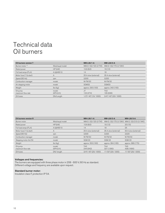### Technical data Oil burners

| Oil burners version T                        |                                      | WM-L30/1-A              | WM-L30/2-A              |
|----------------------------------------------|--------------------------------------|-------------------------|-------------------------|
| Burner motor <sup>1)</sup>                   | Weishaupt model                      | WM-D 132/120-2/7K5      | WM-D 132/170-2/10K0     |
| Rated power                                  | $HP$ $(kW)$                          | 10.6(8.0)               | 16(12)                  |
| Full load amps (FLA)                         | $A$ (@460 V)                         | 14                      | 18                      |
| Motor fuse $(\Upsilon \Delta \text{ start})$ | A                                    | 25 A slow (external)    | 35 A slow (external)    |
| Speed (60 Hz)                                | rpm                                  | 3.500                   | 3,520                   |
| Combustion manager                           | model                                | <b>W-FM50</b>           | <b>W-FM 50</b>          |
| Air stepping motor                           | model                                | SQM33                   | SQM33                   |
| Weight                                       | $\mathsf{lbs}(\mathsf{k}\mathsf{g})$ | approx. 330 (150)       | approx. 342 (155)       |
| Oil pump                                     | model                                | J7                      | TA <sub>2</sub>         |
| maximum flow rate                            | GPH (I/h)                            | 123 (474)               | 165 (636)               |
| Oil hoses                                    | DN/Length                            | $1/2$ "/ 40" (13/ 1000) | $3/4$ "/ 40" (20/ 1000) |

| Oil burners version R                        |                                      | <b>WM-L30/1-A</b>            | <b>WM-L30/2-A</b>    | <b>WM-L30/3-A</b>                       |
|----------------------------------------------|--------------------------------------|------------------------------|----------------------|-----------------------------------------|
| Burner motor                                 | Weishaupt model                      | WM-D 132/120-2/7K5           |                      | WM-D 132/170-2/10K0 WM-D 132/210-2/14K0 |
| Rated power                                  | $HP$ $(kW)$                          | 10.6(8.0)                    | 16(12)               | 20(15)                                  |
| Full load amps (FLA)                         | $A$ (@460 V)                         | 14                           | 18                   | 25                                      |
| Motor fuse $(\Upsilon \Delta \text{ start})$ | A                                    | 25 A slow (external)         | 35 A slow (external) | 50 A slow (external)                    |
| Speed (60 Hz)                                | rpm                                  | 3.500                        | 3.520                | 3.520                                   |
| Combustion manager                           | model                                | <b>W-FM50</b>                | <b>W-FM50</b>        | <b>W-FM50</b>                           |
| Stepping motor Air/Oil                       | model                                | <b>SQM33</b>                 | <b>SQM33</b>         | <b>SQM33</b>                            |
| Weight                                       | $\mathsf{lbs}(\mathsf{k}\mathsf{g})$ | approx. 353 (160)            | approx. 364 (165)    | approx. 386 (175)                       |
| Oil pump<br>maximum flow rate                | model<br>GPH(I/h)                    | TA <sub>3</sub><br>244 (942) | TA4<br>327 (1260)    | TA <sub>5</sub><br>438 (1690)           |
| Oil hoses                                    | DN/length                            | 3/4"/40" (20/1000)           | 1"/ 50" (25/ 1300)   | 1"/ 50" (25/ 1300)                      |

### Voltages and frequencies:

The burners are equipped with three phase motor in 208 - 600 V, 60 Hz as standard. Different voltage and frequency are available upon request.

### Standard burner motor:

Insulation class F, protection IP 54.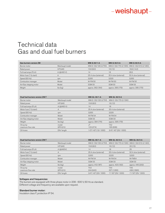### Technical data Gas and dual fuel burners

| <b>Gas burners version ZM</b>                |                                      | WM-G 30/1-A                  | WM-G 30/2-A                  | WM-G 30/3-A                             |
|----------------------------------------------|--------------------------------------|------------------------------|------------------------------|-----------------------------------------|
| Burner motor                                 | Weishaupt model                      | WM-D 132/120-2/7K5           |                              | WM-D 132/170-2/10K0 WM-D 132/210-2/14K0 |
| Rated power                                  | HP(kW)                               | 10.6(8.0)                    | 16(12)                       | 18.9 (14.2)                             |
| Full load amps (FLA)                         | $A$ (@460 V)                         | 14                           | 18                           | 26.5                                    |
| Motor fuse $(\Upsilon \Delta \text{ start})$ | Α                                    | 25 A slow (external)         | 35 A slow (external)         | 50 A slow (external)                    |
| Speed (60 Hz)                                | rpm                                  | 3,500                        | 3,520                        | 3,500                                   |
| Combustion manager                           | Model                                | <b>W-FM50</b>                | <b>W-FM50</b>                | <b>W-FM50</b>                           |
| Air/Gas stepping motor                       | Model                                | <b>SQM33</b>                 | <b>SQM33</b>                 | <b>SQM33</b>                            |
| Weight                                       | $\mathsf{lbs}(\mathsf{k}\mathsf{g})$ | approx. 362 (164)            | approx. 395 (179)            | approx. 395 (179)                       |
|                                              |                                      |                              |                              |                                         |
| Dual fuel burners version ZM-T               |                                      | <b>WM-GL 30/1-A</b>          | <b>WM-GL 30/2-A</b>          |                                         |
| Burner motor                                 | Weishaupt model                      | WM-D 132/120-2/7K5           | WM-D 132/170-2/10K0          |                                         |
| Rated power                                  | $HP$ (kW)                            | 10.6(8.0)                    | 16(12)                       |                                         |
| Full load amps (FLA)                         | $A$ (@460 V)                         | 14                           | 18                           |                                         |
| Motor fuse $(\Upsilon \Delta \text{ start})$ | Α                                    | 25 A slow (external)         | 35 A slow (external)         |                                         |
| Speed (60 Hz)                                | rpm                                  | 3,500                        | 3,520                        |                                         |
| Combustion manager                           | Model                                | <b>W-FM 54</b>               | <b>W-FM54</b>                |                                         |
| Air/Gas stepping motor                       | Model                                | <b>SQM33</b>                 | <b>SQM33</b>                 |                                         |
| Weight                                       | $\mathsf{lbs}(\mathsf{k}\mathsf{g})$ | approx. 384 (174)            | approx. 395 (179)            |                                         |
| Oil pump<br>maximum flow rate                | model<br>GPH (I/h)                   | J7<br>123 (474)              | TA <sub>2</sub><br>165 (636) |                                         |
| Oil hoses                                    | DN/length                            | 1/2"/ 40" (13/ 1000)         | 3/4"/40" (20/1000)           |                                         |
| Dual fuel burners version ZM-T               |                                      | <b>WM-GL 30/1-A</b>          | <b>WM-GL 30/2-A</b>          | <b>WM-GL 30/3-A</b>                     |
| Burner motor                                 | Weishaupt model                      | WM-D 132/120-2/7K5           |                              | WM-D 132/170-2/10K0 WM-D 132/210-2/14K0 |
| Rated power                                  | $HP$ (kW)                            | 10.6(8.0)                    | 16(12)                       | 20(15)                                  |
| Full load amps (FLA)                         | $A$ (@460V)                          | 14                           | 18                           | 25                                      |
| Motor fuse $(\Upsilon \Delta \text{ start})$ | Α                                    | 25 A slow (external)         | 35 A slow (external)         | 50 A slow (external)                    |
| Speed (60 Hz)                                | rpm                                  | 3,500                        | 3,520                        | 3,520                                   |
| Combustion manager                           | Model                                | <b>W-FM 54</b>               | <b>W-FM54</b>                | <b>W-FM54</b>                           |
| Air/Gas stepping motor                       | Model                                | <b>SQM33</b>                 | <b>SQM33</b>                 | <b>SQM33</b>                            |
| Weight                                       | $\mathsf{lbs}(\mathsf{k}\mathsf{g})$ | approx. 412 (187)            | approx. 423 (192)            | approx. 445 (202)                       |
| Oil pump<br>maximum flow rate                | model<br>GPH (I/h)                   | TA <sub>3</sub><br>244 (942) | TA4<br>327 (1260)            | TA <sub>5</sub><br>438 (1690)           |
| Oil hoses                                    | DN/length                            | 3/4"/40" (20/1000)           | 1"/ 50" (25/ 1300)           | 1"/ 50" (25/ 1300)                      |
|                                              |                                      |                              |                              |                                         |

### Voltages and frequencies:

The burners are equipped with three phase motor in 208 - 600 V, 60 Hz as standard. Different voltage and frequency are available upon request.

### Standard burner motor:

Insulation class F, protection IP 54.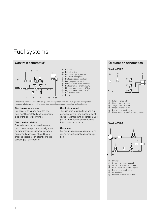### Fuel systems



- 1 Ball valve
- 1a Ball valve (UL)
- 1b Ball valve on pilot gas train
- 2 Gas pressure regulator
- 2b Pilot gas pressure regulator
- 3 Low gas pressure switch
- 4 Main gas valves 1 and 2 (SSOV)
- 4b Pilot gas valves 1 and 2 (SSOV)
- 5 High gas pressure switch (CGA)
- 5a High gas pressure switch (UL)
- 6 Gas butterfly valve<br>7 Burner

**Burner** 

\* The above schematic shows typical gas train configuration only. The actual gas train configuration shipped with burner might differ depending on applicable codes/ regulation and application.

#### Gas train arrangement

For boiler with hinged door the gas train must be installed on the opposite side of the boiler door hinge.

#### Gas train installation

Gas train must be mounted tension free. Do not compensate misalignment by over tightening. Distance between burner and gas valves should be as small as possible. Pay attention to the correct gas flow direction.

#### Gas train support

The gas train must be fixed and supported securely. They must not be allowed to vibrate during operation. Support suitable for the site should be fitted during installation.

#### Gas meter

For commissioning a gas meter is required to verify exact gas consumption.

### Gas train schematic\* Oil function schematics



- 1 Safety solenoid valve
- 2 Stage 1 solenoid valve
- 3 Stage 2 solenoid valve
- 4 Stage 3 solenoid valve 5 Burner mounted oil pump
- 6 Nozzle assembly with 3 atomizing nozzles

#### Version ZM-R



- 1 Strainer
- $(2)$  Oil solenoid valve in supply line
- 3 Oil solenoid valve in return line
- $\widetilde{4}$  Nozzle head with spill type nozzle 5 Burner mounted oil pump
- 6 Oil regulator
- $\overline{O}$  Pressure switch in return line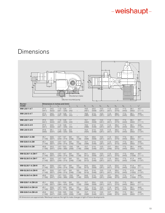### Dimensions

| h.<br>$h_3$<br>h <sub>5</sub><br>h <sub>6</sub> |                | ┯             | €                                               | Burner mounted pump | h2<br>Ducted air intake  | h <sub>1</sub><br>d <sub>2</sub><br>b <sub>6</sub> | b <sub>4</sub>       | $8 \text{ mm}$  |                      | e<br>₩         | गा                   | $\mathsf{\Pi}$<br>U<br>П | ٠b,<br>bз<br>b <sub>2</sub><br>b <sub>5</sub> |
|-------------------------------------------------|----------------|---------------|-------------------------------------------------|---------------------|--------------------------|----------------------------------------------------|----------------------|-----------------|----------------------|----------------|----------------------|--------------------------|-----------------------------------------------|
| Burner-<br>model                                | $\mathsf{I}_1$ | l2.           | Dimensions in inches and (mm)<br>$\mathsf{I}_3$ | $\vert_4$           | $I_5$                    | b <sub>1</sub>                                     | b <sub>2</sub>       | $b_3$           | $b_4$                | b <sub>5</sub> | $b_6$                | $r_1$                    | $r_2$ <sup>*</sup>                            |
| WM-L30/1-AT                                     | 37.0<br>(941)  | 24.5<br>(622) | $11.9 - 12.8$<br>$(301 - 326)$                  | 1.7<br>(43)         |                          | 18.9<br>(481)                                      | 20.0<br>(508)        | 10.3<br>(261)   | 11.9<br>(301)        | 22.4<br>(570)  | 17.3<br>(440)        | 39.1<br>(992)            | 43.7<br>(1111)                                |
| WM-L30/2-AT                                     | 37.0<br>(941)  | 24.5<br>(622) | 11.9 - 12.8<br>(301 - 326)                      | $\frac{1.7}{(43)}$  |                          | 18.9<br>(480)                                      | $\frac{21.6}{(548)}$ | $10.3$<br>(261) | $\frac{11.9}{(301)}$ | 26.4<br>(670)  | $\frac{17.3}{(440)}$ | 39.1<br>(992)            | 44.8<br>(1137)                                |
| <b>WM-L30/1-AR</b>                              | 37.0<br>(941)  | 24.5<br>(622) | $11.9 - 12.8$<br>$(301 - 326)$                  | 1.7<br>(43)         | $\overline{\phantom{0}}$ | 19.1<br>(484)                                      | 20.0<br>(508)        | 10.3<br>(261)   | 11.9<br>(301)        | 22.4<br>(570)  | 17.3<br>(440)        | 39.1<br>(992)            | 43.7<br>(1111)                                |
| WM-L30/2-A R                                    | 37.0<br>(941)  | 24.5<br>(622) | $11.9 - 12.8$<br>$(301 - 326)$                  | 1.7<br>(43)         | $\overline{\phantom{0}}$ | 19.2<br>(488)                                      | 21.6<br>(548)        | 10.3<br>(261)   | 11.9<br>(301)        | 26.4<br>(670)  | 17.3<br>(440)        | 39.1<br>(992)            | 44.8<br>(1137)                                |
| WM-L30/3-A R                                    | 37.6<br>(956)  | 25.1<br>(637) | $11.2 - 12.8$<br>$(285 - 325)$                  | 2.3<br>(58)         | $\qquad \qquad -$        | 19.4<br>(494)                                      | 21.6<br>(548)        | 10.3<br>(261)   | 11.9<br>(301)        | 26.4<br>(670)  | 17.3<br>(440)        | 39.1<br>(992)            | 44.8<br>(1137)                                |
| <b>WM-G30/1-A ZM</b>                            | 45.1           | 32.6          | $13.7 - 14.7$                                   | 9.8                 | 5.0                      | 15.7                                               | 20.0                 | 10.3            | 11.9                 | 22.4           | 17.3                 | 39.1                     | 43.7                                          |
|                                                 | (1146)         | (827)         | $(349 - 374)$                                   | (248)               | (128)                    | (398)                                              | (508)                | (261)           | (301)                | (570)          | (440)                | (992)                    | (1111)                                        |
| <b>WM-G30/2-A ZM</b>                            | 45.1           | 32.6          | $13.7 - 14.7$                                   | 9.8                 | 5.0                      | 15.7                                               | 21.6                 | 10.3            | 11.9                 | 24.0           | 17.3                 | 39.1                     | 44.8                                          |
|                                                 | (1146)         | (827)         | $(349 - 374)$                                   | (248)               | (128)                    | (398)                                              | (548)                | (261)           | (301)                | (610)          | (440)                | (992)                    | (1137)                                        |
| <b>WM-G30/3-A ZM</b>                            | 45.9           | 33.3          | $13.7 - 15.3$                                   | 10.6                | 5.8                      | 15.7                                               | 21.6                 | 10.3            | 13.7                 | 26.4           | 17.3                 | 39.1                     | 44.8                                          |
|                                                 | (1166)         | (847)         | (349 – 389)                                     | (268)               | (148)                    | (398)                                              | (548)                | (261)           | (348)                | (670)          | (440)                | (992)                    | (1137)                                        |
| <b>WM-GL30/1-A ZM-T</b>                         | 45.1           | 32.6          | $13.7 - 14.7$                                   | 9.8                 | 5.0                      | 24.1                                               | 20.0                 | 10.3            | 11.9                 | 22.4           | 17.3                 | 40.9                     | 43.7                                          |
|                                                 | (1146)         | (827)         | $(349 - 374)$                                   | (248)               | (128)                    | (612)                                              | (508)                | (261)           | (301)                | (570)          | (440)                | (1038)                   | (1111)                                        |
| <b>WM-GL30/2-A ZM-T</b>                         | 45.1           | 32.6          | $13.7 - 14.7$                                   | 9.8                 | 5.0                      | 24.0                                               | 21.6                 | 10.3            | 11.9                 | 26.4           | 17.3                 | 41.3                     | 44.8                                          |
|                                                 | (1146)         | (827)         | $(349 - 374)$                                   | (248)               | (128)                    | (610)                                              | (548)                | (261)           | (301)                | (670)          | (440)                | (1048)                   | (1137)                                        |
| <b>WM-GL30/1-A ZM-R</b>                         | 45.1           | 32.6          | $13.7 - 14.7$                                   | 9.8                 | 5.0                      | 24.2                                               | 20.0                 | 10.3            | 11.9                 | 22.4           | 17.3                 | 41.4                     | 43.7                                          |
|                                                 | (1146)         | (827)         | $(349 - 374)$                                   | (248)               | (128)                    | (615)                                              | (508)                | (261)           | (301)                | (570)          | (440)                | (1052)                   | (1111)                                        |
| <b>WM-GL30/2-A ZM-R</b>                         | 45.1           | 32.6          | $13.7 - 14.7$                                   | 9.8                 | 5.0                      | 24.4                                               | 21.6                 | 10.3            | 11.9                 | 26.4           | 17.3                 | 41.5                     | 44.8                                          |
|                                                 | (1146)         | (827)         | $(349 - 374)$                                   | (248)               | (128)                    | (619)                                              | (548)                | (261)           | (301)                | (670)          | (440)                | (1055)                   | (1137)                                        |
| <b>WM-GL30/3-A ZM-R</b>                         | 45.9           | 33.3          | $13.7 - 15.3$                                   | 10.6                | 5.8                      | 24.6                                               | 21.6                 | 10.3            | 13.7                 | 26.4           | 17.3                 | 41.7                     | 44.8                                          |
|                                                 | (1166)         | (847)         | $(349 - 389)$                                   | (268)               | (148)                    | (625)                                              | (548)                | (261)           | (348)                | (670)          | (440)                | (1059)                   | (1137)                                        |
| <b>WM-G30/1-A ZM-LN</b>                         | 45.1           | 32.6          | $15.1 - 15.9$                                   | 9.8                 | 5.0                      | 15.7                                               | 20.0                 | 10.3            | 11.9                 | 22.4           | 17.3                 | 39.1                     | 43.7                                          |
|                                                 | (1146)         | (827)         | $(384 - 404)$                                   | (248)               | (128)                    | (398)                                              | (508)                | (261)           | (301)                | (570)          | (440)                | (992)                    | (1111)                                        |
| <b>WM-G30/2-A ZM-LN</b>                         | 45.1           | 32.6          | $14.7 - 16.3$                                   | 9.8                 | 5.0                      | 15.7                                               | 21.6                 | 10.3            | 11.9                 | 24.0           | 17.3                 | 39.1                     | 44.8                                          |
|                                                 | (1146)         | (827)         | $(374 - 414)$                                   | (248)               | (128)                    | (398)                                              | (548)                | (261)           | (301)                | (610)          | (440)                | (992)                    | (1137)                                        |
| <b>WM-G30/3-A ZM-LN</b>                         | 45.9           | 33.3          | $15.6 - 16.5$                                   | 10.6                | 5.8                      | 15.7                                               | 21.6                 | 10.3            | 13.7                 | 26.4           | 17.3                 | 39.1                     | 44.8                                          |
|                                                 | (1166)         | (847)         | $(395 - 420)$                                   | (268)               | (148)                    | (398)                                              | (548)                | (261)           | (348)                | (670)          | (440)                | (992)                    | (1137)                                        |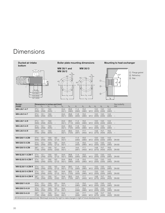### Dimensions

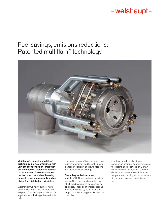### Fuel savings, emisions reductions: Patented multiflam® technology



Weishaupt's patented multiflam® technology allows compliance with very stringent emission limits without the need for expensive additional equipment. The emissions reduction is accomplished by using innovative mixing assembly and applying fuel distribution principles.

Weishaupt multiflam® burners have been proven in the field for more than 10 years. They are especially suited for applications with stringent emission limits.

The latest monarch® burners have adopted this technology and brought a combination of flexibility and low emissions into medium capacity range.

#### Exemplary emission values

multiflam® 3LN version burners further reduce NO<sub>v</sub> emissions below the level which can be achieved by standard mixing head. These additional reductions are accomplished by using special mixing assembly applying fuel distribution principles.

Combustion values also depend on combustion chamber geometry. volumetric loading and boiler design. Certain conditions such combustion chamber dimensions, measurement tolerances, temperature, humidity, etc. must be verified in order to guarantee emission levels.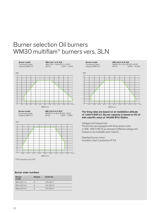### Burner selection Oil burners WM30 multiflam® burners vers. 3LN

Capacity MBTU/h

Burner model WM-L30/1-A R-3LN Combustion head WM-L30/1-3LN, Ø 215 / Ø 22<br>Capacity MBTU/h #2 Oil 1,540 – 11,945

WM30/2+3-3LN, Ø 220 / Ø 25<br>#2 Oil 2,050 – 17,065



**Burner model WM-L30/3-A R-3LN \***<br>Combustion head WM30/2+3-3LN Ø 29 Capacity MBTU/h

"WC



\* 57Hz operation with VFD

#### Burner order numbers

| <b>Burner</b><br>model | Version | Order No.  |
|------------------------|---------|------------|
| WM-L30/1-A             | R       | 215 320 11 |
| WM-L30/2-A             | R       | 215 320 21 |
| WM-L30/3-A             | R       | 215 320 31 |

Burner model WM-L30/2-A R-3LN Capacity MBTU/h

Combustion head WM30/2+3-3LN, Ø 220 / Ø 25<br>Capacity MBTU/h #2 Oil 2,050 – 15,360



The firing rates are based on an installation altitude of 1,640 ft (500 m). Burner capacity is based on #2 oil with calorific value of 140,000 BTU/Gallon

Voltages and frequencies:

The burners are equipped with three phase motor in 208 - 600 V, 60 Hz as standard. Different voltage and frequency are available upon request.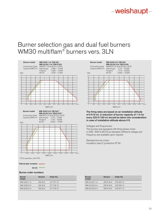### Burner selection gas and dual fuel burners WM30 multiflam® burners vers. 3LN





The firing rates are based on an installation altitude of 0 ft (0 m). A reduction of burner capacity of 1 % for every 325 ft (100 m) should be taken into consideration in case of installation altitude above 0 ft.

Voltages and frequencies:

The burners are equipped with three phase motor in 208 - 600 V, 60 Hz as standard. Different voltage and frequency are available upon request.

| <b>Burner</b><br>model | <b>Version</b> | Order No.  |
|------------------------|----------------|------------|
| WM-GL30/1-A            | $ZM-R-3LN$     | 218 325 12 |
| <b>WM-GL30/2-A</b>     | $ZM-R-3LN$     | 218 326 12 |
| <b>WM-GL30/3-A</b>     | $ZM-R-3LN$     | 218 327 12 |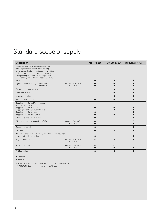### Standard scope of supply

| <b>Description</b>                                                                                                                                                                                                                                                                                                           |                          | <b>WM-L30-R 3LN</b> | <b>WM-G30 ZM 3LN</b> | WM-GL30 ZM-R 3LN |
|------------------------------------------------------------------------------------------------------------------------------------------------------------------------------------------------------------------------------------------------------------------------------------------------------------------------------|--------------------------|---------------------|----------------------|------------------|
| Burner housing, Hinge flange, housing cover,<br>Weishaupt burner motor, air intake housing,<br>fan wheel, combustion head, ignition unit, ignition<br>cable, ignition electrodes, combustion manager<br>with operating unit, flame sensor, stepping motors,<br>flange gasket, limit switch on hinge flange, fixing<br>screws |                          |                     |                      |                  |
| Digital combustion manager W-FM 100<br><b>W-FM 200</b>                                                                                                                                                                                                                                                                       | WM30/1, WM30/2<br>WM30/3 |                     |                      |                  |
| Two gas safety shut off valves                                                                                                                                                                                                                                                                                               |                          |                     |                      |                  |
| Gas butterfly valve                                                                                                                                                                                                                                                                                                          |                          |                     |                      |                  |
| Air pressure switch                                                                                                                                                                                                                                                                                                          |                          |                     |                      |                  |
| Adjustable mixing head                                                                                                                                                                                                                                                                                                       |                          |                     |                      |                  |
| Stepping motor for fuel/air compound<br>requlation with W-FM:<br>Stepping motor for air damper<br>Stepping motor for gas butterfly valve<br>Stepping motor for oil regulator<br>Stepping motor for mixing head                                                                                                               |                          |                     |                      |                  |
| Oil pressure switch in return line                                                                                                                                                                                                                                                                                           |                          |                     |                      |                  |
| Oil pressure switch in supply line DSA58                                                                                                                                                                                                                                                                                     | WM30/1, WM30/2<br>WM30/3 | $\circ$             |                      | $\circ$          |
| Burner mounted oil pump <sup>1)</sup>                                                                                                                                                                                                                                                                                        |                          |                     |                      |                  |
| Oil hoses                                                                                                                                                                                                                                                                                                                    |                          |                     | -                    |                  |
| 2 oil solenoid valves in each supply and return line, oil regulator,<br>nozzle head, spill type nozzles                                                                                                                                                                                                                      |                          |                     |                      |                  |
| Magnetic clutch <sup>1)</sup>                                                                                                                                                                                                                                                                                                | WM30/1, WM30/2<br>WM30/3 | $\circ$             |                      |                  |
| Motor speed control                                                                                                                                                                                                                                                                                                          | WM30/1, WM30/2<br>WM30/3 | $\circ$             | O                    | O                |
| IP 54 protection                                                                                                                                                                                                                                                                                                             |                          |                     |                      |                  |

### $\bullet$  Standard

O Optional

<sup>1)</sup> WM30/3 3LN comes as standard with frequency drive (W-FM 200) WM30/3 3LN comes with oil pump unit SMG1629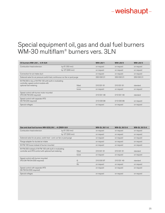### Special equipment oil, gas and dual fuel burners WM-30 multiflam® burners vers. 3LN

| Oil burners WM-L30/ -A R-3LN                                                                   |                 | <b>WM-L30/1</b> | <b>WM-L30/2</b> | <b>WM-L30/3</b> |
|------------------------------------------------------------------------------------------------|-----------------|-----------------|-----------------|-----------------|
| Combustion head extension                                                                      | by 6" (150 mm)  | on request      | on request      | on request      |
|                                                                                                | by 12" (300 mm) | on request      | on request      | on request      |
| Connection for air intake duct                                                                 |                 | on request      | on request      | on request      |
| Solenoid valve for air pressure switch test, continuous run fan or post purge                  |                 | 250 030 21      | 25003021        | 250 030 21      |
| W-FM 200 in lieu of W-FM 100 with built-in modulating<br>controller, speed control module with |                 |                 |                 |                 |
| optional fuel metering                                                                         | fitted          | 210 031 61      | 210 031 61      | standard        |
|                                                                                                | loose           | on request      | on request      | on request      |
| Speed control with burner motor mounted<br>VFD (W-FM 200 required)                             |                 | 21003148        | 21003149        | standard        |
| Speed control with separate VFD<br>(W-FM 200 required)                                         |                 | 21003098        | 21003098        | on request      |
| Special voltages                                                                               |                 | on request      | on request      | on request      |

| Gas and dual fuel burners WM-G(GL)30/ - A (ZM)R-3LN                                                             |                 |        | <b>WM-GL 30/1-A</b> | <b>WM-GL 30/2-A</b> | <b>WM-GL 30/3-A</b> |
|-----------------------------------------------------------------------------------------------------------------|-----------------|--------|---------------------|---------------------|---------------------|
| Combustion head extension                                                                                       | by 6" (150 mm)  |        | on request          | on request          | on request          |
|                                                                                                                 | by 12" (300 mm) |        | on request          | on request          | on request          |
| Solenoid valve for air press. switch test - cont. run fan or post purge                                         |                 |        | on request          | on request          | on request          |
| Flange adapter for ducted air intake                                                                            |                 |        | on request          | on request          | on request          |
| W-FM 100 loose instead of burner mounted                                                                        |                 |        | on request          | on request          | on request          |
| W-FM 200 instead of W-FM 100 with built in modulating<br>controller and VFD control with optional fuel metering |                 | fitted | 210 031 61          | 210 031 61          | standard            |
|                                                                                                                 |                 | loose  | on request          | on request          | on request          |
| Speed control with burner mounted<br>VFD (W-FM 54/200 required)                                                 |                 | G      | 210 030 97          | 210 031 49          | standard            |
|                                                                                                                 |                 | GL     | on request          | on request          | on request          |
| Speed control with separate VFD<br>(W-FM 54/200 required)                                                       |                 |        | on request          | on request          | on request          |
| Special voltages                                                                                                |                 |        | on request          | on request          | on request          |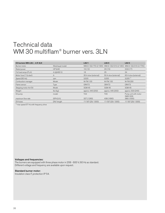### Technical data WM 30 multiflam® burner vers. 3LN

| Oil burners WM-L30/ -A R 3LN                 |                                      | L30/1                | L30/2                                                       | L30/3                                  |
|----------------------------------------------|--------------------------------------|----------------------|-------------------------------------------------------------|----------------------------------------|
| Burner motor                                 | Weishaupt model                      |                      | WM-D 132/170-2/10K0 WM-D 132/210-2/14K0 WM-D 132/210-2/17K0 |                                        |
| Rated power                                  | $HP$ (kW)                            | 16(12)               | 20(15)                                                      | 22.8(17)                               |
| Full load amps (FLA)                         | A (@460 V)                           | 18                   | 25                                                          | 34                                     |
| Motor fuse $(\Upsilon \Delta \text{ start})$ | A                                    | 35 A slow (external) | 50 A slow (external)                                        | 60 A slow (external)                   |
| Speed (60 Hz)                                | rpm                                  | 3,520                | 3,520                                                       | $3,320^{1}$                            |
| Combustion manager                           | Model                                | <b>W-FM 100</b>      | <b>W-FM100</b>                                              | W-FM 200                               |
| Flame sensor                                 | Type                                 | QRA73                | QRA73                                                       | QRA73                                  |
| Stepping motor Air/Oil                       | Model                                | <b>SQM 45</b>        | <b>SQM 45</b>                                               | <b>SQM 45</b>                          |
| Weight                                       | $\mathsf{lbs}(\mathsf{k}\mathsf{g})$ | approx. 445 (202)    | approx. 445 (202)                                           | approx. 530 (240)                      |
| Oil pump                                     | model                                | TA4                  | TA <sub>5</sub>                                             | Pump unit with motor<br><b>SMG1629</b> |
| maximum flow rate                            | GPH(I/h)                             | 327 (1260)           | 438 (1690)                                                  | 389 (1500)                             |
| Oil hoses                                    | DN/length                            | 1"/ 50" (25/ 1300)   | 1"/ 50" (25/ 1300)                                          | 1"/50" (25/1300)                       |

 $1)$  max speed 57 Hz with frequency drive

#### Voltages and frequencies:

The burners are equipped with three phase motor in 208 - 600 V, 60 Hz as standard. Different voltage and frequency are available upon request.

### Standard burner motor:

Insulation class F, protection IP 54.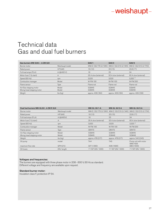### Technical data Gas and dual fuel burners

| Gas burners WM-G30/ - A ZM 3LN               |                                      | G30/1                | G30/2                                                       | G30/3                |
|----------------------------------------------|--------------------------------------|----------------------|-------------------------------------------------------------|----------------------|
| Burner motor                                 | Weishaupt model                      |                      | WM-D 132/170-2/10K0 WM-D 132/210-2/14K0 WM-D 132/210-2/17K0 |                      |
| Rated power                                  | HP(kW)                               | 16(12)               | 20(15)                                                      | 22.8(17)             |
| Full load amps (FLA)                         | A (@460 V)                           | 18                   | 25                                                          | 34                   |
| Motor fuse $(\Upsilon \Delta \text{ start})$ | A                                    | 35 A slow (external) | 50 A slow (external)                                        | 60 A slow (external) |
| Speed (60 Hz)                                | rpm                                  | 3,520                | 3,520                                                       | $3,320^{1}$          |
| Combustion manager                           | Model                                | <b>W-FM 100</b>      | W-FM 100                                                    | W-FM 200             |
| Flame sensor                                 | Type                                 | Flame rod            | Flame rod                                                   | Flame rod            |
| Air/Gas stepping motor                       | Model                                | SOM45                | SOM45                                                       | SQM45                |
| Mixing head stepping motor                   | Model                                | SQM45                | SQM48                                                       | SQM48                |
| Weight                                       | $\mathsf{lbs}(\mathsf{k}\mathsf{g})$ | approx. 406 (184)    | approx. 406 (184)                                           | approx. 439 (199)    |

| Dual fuel burners WM-GL30/ A ZM R 3LN                |                                      | <b>WM-GL 30/1-A</b>            | <b>WM-GL 30/2-A</b>                                         | <b>WM-GL 30/3-A</b>             |
|------------------------------------------------------|--------------------------------------|--------------------------------|-------------------------------------------------------------|---------------------------------|
| Burner motor                                         | Weishaupt model                      |                                | WM-D 132/170-2/10K0 WM-D 132/210-2/14K0 WM-D 132/210-2/17K0 |                                 |
| Rated power                                          | HP(kW)                               | 16(12)                         | 20(15)                                                      | 22.8(17)                        |
| Full load amps (FLA)                                 | A(@460V)                             | 18                             | 25                                                          | 34                              |
| Motor fuse $(\Upsilon \Delta \text{ start})$         | $\overline{A}$                       | 35 A slow (external)           | 50 A slow (external)                                        | 60 A slow (external)            |
| Speed (60 Hz)                                        | rpm                                  | 3,520                          | 3,520                                                       | $3,320^{1}$                     |
| Combustion manager                                   | Model                                | <b>W-FM 100</b>                | <b>W-FM 100</b>                                             | <b>W-FM 200</b>                 |
| Flame sensor                                         | Type                                 | QRA73                          | QRA73                                                       | QRA73                           |
| Air/Gas stepping motor<br>Mixing head stepping motor | Model<br>Model                       | SQM45<br>SQM45                 | SQM45<br>SQM48                                              | SQM45<br>SQM48                  |
| Weight                                               | $\mathsf{lbs}(\mathsf{k}\mathsf{g})$ | approx. 478 (217)              | approx. 478 (217)                                           | approx. 540 (245)               |
| Oil pump                                             | model                                | TA4                            | TA <sub>5</sub>                                             | Pump unit with motor<br>SMG1629 |
|                                                      |                                      |                                |                                                             |                                 |
| maximum flow rate<br>Oil hoses                       | GPH (I/h)<br>DN/length               | 327 (1260)<br>1"/50" (25/1300) | 438 (1690)<br>1"/50" (25/1300)                              | 389 (1500)<br>1"/50" (25/1300)  |

#### Voltages and frequencies:

The burners are equipped with three phase motor in 208 - 600 V, 60 Hz as standard. Different voltage and frequency are available upon request.

#### Standard burner motor:

Insulation class F, protection IP 54.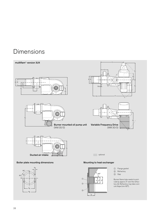### Dimensions







- 1 Flange gasket
- 2 Refractory
- 3 Gap

Burner flame tube needs to protrude by approx 2" over the refractory 2. Refractory may take conical shape (min 60°).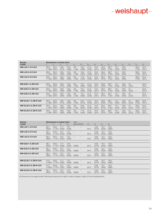| <b>Burner-</b><br>Dimensions in inches (mm) |                          |                                             |               |               |                              |                          |                 |               |               |               |                |               |                          |                                   |               |
|---------------------------------------------|--------------------------|---------------------------------------------|---------------|---------------|------------------------------|--------------------------|-----------------|---------------|---------------|---------------|----------------|---------------|--------------------------|-----------------------------------|---------------|
| model                                       | $I_1$                    | $I_2$                                       | $I_3$         | $I_4$         | $I_5$                        | $b_1$                    | b <sub>2</sub>  | $b_3$         | $b_4$         | $h_1$         | h <sub>2</sub> | $h_{3}$       | $h_4$                    | h <sub>5</sub>                    | $h_{6}$       |
| <b>WM-L30/1-A R-3LN</b>                     | 45.9<br>(1166)           | 33.3<br>(847)                               | 18.6<br>(473) | 10.6<br>(268) | 5.8<br>(148)                 | 19.2<br>(488)            | 21.6<br>(548)   | 10.3<br>(261) | 24.8<br>(630) | 28.7<br>(730) | 10.1<br>(256)  | 19.9<br>(505) | $\qquad \qquad -$        | 28.3<br>(720)                     | 24.4<br>(621) |
| <b>WM-L30/2-A R-3LN</b>                     | 45.9<br>(1166)           | 33.3<br>(847)                               | 18.9<br>(480) | 10.6<br>(268) | 5.8<br>(148)                 | 19.4<br>(494)            | 21.6<br>(548)   | 10.3<br>(261) | 26.4<br>(670) | 28.7<br>(730) | 10.1<br>(256)  | 19.9<br>(505) | $\overline{\phantom{a}}$ | 28.3<br>(720)                     | 24.4<br>(621) |
| <b>WM-L30/3-A R-3LN</b>                     | 45.9<br>(1166)           | 33.3<br>(847)                               | 18.9<br>(480) | 10.6<br>(268) | 5.8<br>(148)                 | 17.6<br>(446)            | 21.6<br>(548)   | 10.3<br>(261) | 26.4<br>(670) | 28.7<br>(730) | 10.1<br>(256)  | 19.9<br>(505) | $\overline{\phantom{a}}$ | 28.3<br>(720)                     | 24.4<br>(621) |
| <b>WM-G30/1-A ZM-3LN</b>                    | 45.9<br>$(1166)$ $(847)$ | 33.3                                        | 18.6<br>(473) | 10.6<br>(268) | 5.8<br>(148)                 | 15.7<br>(398)            | 21.6<br>(548)   | 10.3<br>(261) | 24.8<br>(630) | 28.7<br>(730) | 10.1<br>(256)  | 19.9<br>(505) | 9.1<br>(232)             | $\hspace{1.0cm} - \hspace{1.0cm}$ | 24.4<br>(621) |
| <b>WM-G30/2-A ZM-3LN</b>                    | 45.9<br>(1166)           | 33.3<br>(847)                               | 18.9<br>(480) | 10.6<br>(268) | 5.8<br>(148)                 | 15.7<br>(398)            | 21.6<br>(548)   | 10.3<br>(261) | 26.4<br>(670) | 28.7<br>(730) | 10.1<br>(256)  | 19.9<br>(505) | 9.1<br>(232)             | $\overline{\phantom{a}}$          | 24.4<br>(621) |
| <b>WM-G30/3-A ZM-3LN</b>                    | 45.9<br>$(1166)$ $(847)$ | 33.3                                        | 18.9<br>(480) | 10.6<br>(268) | 5.8<br>(148)                 | 15.7<br>(398)            | 21.6<br>(548)   | 10.3<br>(261) | 26.4<br>(670) | 28.7<br>(730) | 10.1<br>(256)  | 19.9<br>(505) | 9.1<br>(232)             | $\overline{\phantom{a}}$          | 24.4<br>(621) |
| <b>WM-GL30/1-A ZM-R-3LN</b>                 | 45.9<br>$(1166)$ $(847)$ | 33.3                                        | 18.6<br>(473) | 10.6<br>(268) | 5.8<br>(148)                 | 24.4<br>(619)            | 21.6<br>(548)   | 10.3<br>(261) | 24.8<br>(630) | 28.7<br>(730) | 10.1<br>(256)  | 19.9<br>(505) | 9.1<br>(232)             | 28.3<br>(720)                     | 24.4<br>(621) |
| <b>WM-GL30/2-A ZM-R-3LN</b>                 | 45.9<br>$(1166)$ $(847)$ | 33.3                                        | 18.9<br>(480) | 10.6<br>(268) | 5.8<br>(148)                 | 24.6<br>(625)            | 21.6<br>(548)   | 10.3<br>(261) | 26.4<br>(670) | 28.7<br>(730) | 10.1<br>(256)  | 19.9<br>(505) | 9.1<br>(232)             | 28.3<br>(720)                     | 24.4<br>(621) |
| <b>WM-GL30/3-A ZM-R-3LN</b>                 | 45.9<br>(1166)           | 33.3<br>(847)                               | 18.9<br>(480) | 10.6<br>(268) | 5.8<br>(148)                 | 17.6<br>(446)            | 21.6<br>(548)   | 10.3<br>(261) | 26.4<br>(670) | 28.7<br>(730) | 10.1<br>(256)  | 19.9<br>(505) | 9.1<br>(232)             | 28.3<br>(720)                     | 24.4<br>(621) |
|                                             |                          |                                             |               |               |                              |                          |                 |               |               |               |                |               |                          |                                   |               |
| Burner-<br>model                            | r <sub>1</sub>           | Dimensions in inches (mm)<br>r <sub>2</sub> | $d_1$         | $d_2$         | <b>Size</b><br>gas butterfly |                          | $d_{3}$         | $d_4$         | $d_5$         | $d_6$         |                |               |                          |                                   |               |
| <b>WM-L30/1-A R-3LN</b>                     | 39.1<br>(992)            | 44.8<br>(1137)                              | 11.7<br>(296) | 13.7<br>(348) | $\overline{\phantom{0}}$     | $\equiv$                 | M12             | 14.8<br>(375) | 15.7<br>(400) | 15.0<br>(380) |                |               |                          |                                   |               |
| <b>WM-L30/2-A R-3LN</b>                     | 39.1<br>(992)            | 44.8<br>$(1137)$ $(322)$                    | 12.7          | 13.7<br>(348) | $\overline{\phantom{0}}$     | $\overline{\phantom{0}}$ | M12             | 14.8<br>(375) | 15.7<br>(400) | 15.0<br>(380) |                |               |                          |                                   |               |
| <b>WM-L30/3-A R-3LN</b>                     | 39.1<br>(992)            | 45.3<br>(1151)                              | 12.7<br>(322) | 13.7<br>(348) | $\overline{\phantom{a}}$     | $\overline{\phantom{0}}$ | M12             | 14.8<br>(375) | 15.7<br>(400) | 15.0<br>(380) |                |               |                          |                                   |               |
| <b>WM-G30/1-A ZM-3LN</b>                    | 39.1<br>(992)            | 44.8<br>(1137)                              | 11.7<br>(296) | 13.7<br>(348) | <b>DN80</b>                  | $\equiv$                 | M12             | 14.8<br>(375) | 15.7<br>(400) | 15.0<br>(380) |                |               |                          |                                   |               |
| <b>WM-G30/2-A ZM-3LN</b>                    | 39.1<br>(992)            | 44.8<br>(1137)                              | 12.7<br>(322) | 13.7<br>(348) | <b>DN80</b>                  | $\equiv$                 | M12             | 14.8<br>(375) | 15.7<br>(400) | 15.0<br>(380) |                |               |                          |                                   |               |
| <b>WM-G30/3-A ZM-3LN</b>                    | 39.1<br>(992)            | 45.3<br>$(1151)$ $(322)$                    | 12.7          | 13.7<br>(348) | <b>DN80</b>                  |                          | M12             | 14.8<br>(375) | 15.7<br>(400) | 15.0<br>(380) |                |               |                          |                                   |               |
| <b>WM-GL30/1-A ZM-R-3LN</b>                 | 41.5<br>(1055)           | 44.8<br>(1137)                              | 11.7<br>(296) | 13.7<br>(348) | <b>DN80</b>                  |                          | M12             | 14.8<br>(375) | 15.7<br>(400) | 15.0<br>(380) |                |               |                          |                                   |               |
| <b>WM-GL30/2-A ZM-R-3LN</b>                 | 41.7<br>(1059)           | 44.8<br>(1137)                              | 12.7<br>(322) | 13.7<br>(348) | <b>DN80</b>                  |                          | M12             | 14.8<br>(375) | 15.7<br>(400) | 15.0<br>(380) |                |               |                          |                                   |               |
| <b>WM-GL30/3-A ZM-R-3LN</b>                 | 39.1<br>(992)            | 45.3<br>$(1151)$ $(322)$                    | 12.7          | 13.7<br>(348) | <b>DN80</b>                  |                          | M <sub>12</sub> | 14.8<br>(375) | 15.7<br>(400) | 15.0<br>(380) |                |               |                          |                                   |               |

All dimensions are approximate. Weishaupt reserves the right to make changes in light of future developments.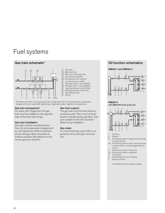### Fuel systems



- 1 Ball valve
- 1a Ball valve (UL)
- 1b Ball valve on pilot gas train
- 2 Gas pressure regulator
- 2b Pilot gas pressure regulator
- <sup>3</sup> Low gas pressure switch
- 4 Main gas valves 1 and 2 (SSOV)
- 4b Pilot gas valves 1 and 2 (SSOV)
- 5 High gas pressure switch (CGA)
- 5a High gas pressure switch (UL)
- $\overline{\textcircled{\circ}}$  Gas butterfly valve<br>  $\overline{\textcircled{\circ}}$  Burner
- **Burner**

\* The above schematic shows typical gas train configuration only. The actual gas train configuration shipped with burner might differ depending on applicable codes/ regulation and application.

#### Gas train arrangement

For boiler with hinged door the gas train must be installed on the opposite side of the boiler door hinge.

#### Gas train installation

Gas train must be mounted tension free. Do not compensate misalignment by over tightening. Distance between burner and gas valves should be as small as possible. Pay attention to the correct gas flow direction.

#### Gas train support

The gas train must be fixed and supported securely. They must not be allowed to vibrate during operation. Support suitable for the site should be fitted during installation.

#### Gas meter

For commissioning a gas meter is required to verify exact gas consumption.

### Gas train schematic\* Oil function schematics



#### WM30/3

with SMG1629 motor pump unit



- 1 Oil pump<br>2 Strainer
- 2 Strainer<br>3 Oil soler Oil solenoid valves in supply line (connected in series with 3a)
- 3a Oil solenoid valves in return line (connected in series with 3) - mounted against flow direction
- 4 Oil pressure switch in return line
- 4a Oil pressure switch in suplly line<br>5 Oil requilator
- 5 Oil regulator
- 6 Nozzle head with shut off device<br>7 External oil filter<sup>®</sup>
- External oil filter<sup>®</sup>
- $<sup>0</sup>$  not standard burner's scope of supply</sup>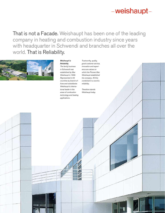That is not a Facade. Weishaupt has been one of the leading company in heating and combustion industry since years with headquarter in Schwendi and branches all over the world. That is Reliability.



#### *Weishaupt is Reliability.*

*The family business in Schwendi was established by Max Weishaupt in 1932. Represented in 55 countries by branch offices and subsidiaries Weishaupt is international leader in the areas of combustion technology and heating applications.* 

*Trustworthy, quality, good customer service, innovation and experience are values on which the Pioneer Max Weishaupt established his company. All this combined in a word is reliability.* 

*Therefore stands Weishaupt today.*

ПШ 511